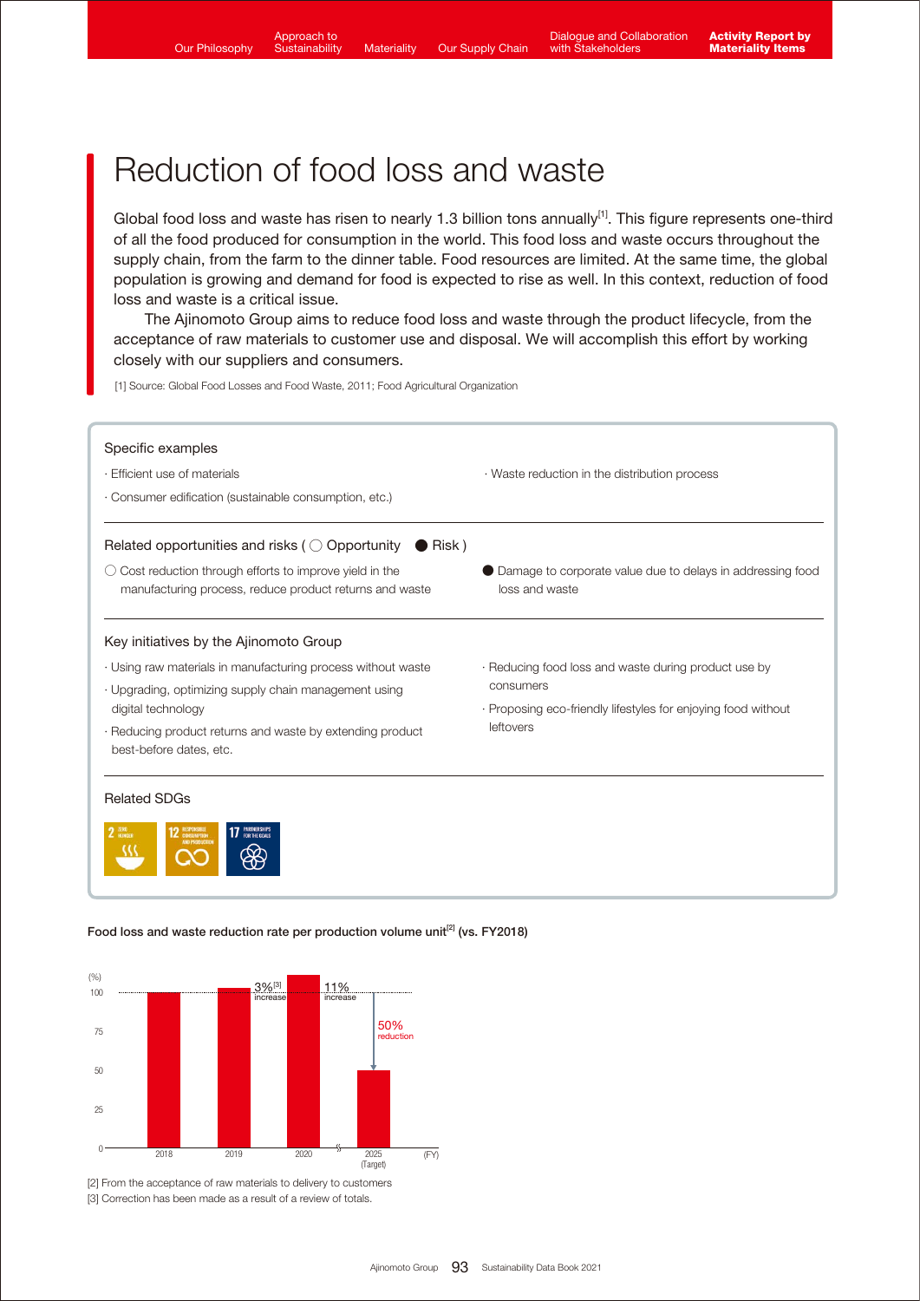# Reduction of food loss and waste

Global food loss and waste has risen to nearly 1.3 billion tons annually<sup>[1]</sup>. This figure represents one-third of all the food produced for consumption in the world. This food loss and waste occurs throughout the supply chain, from the farm to the dinner table. Food resources are limited. At the same time, the global population is growing and demand for food is expected to rise as well. In this context, reduction of food loss and waste is a critical issue.

 The Ajinomoto Group aims to reduce food loss and waste through the product lifecycle, from the acceptance of raw materials to customer use and disposal. We will accomplish this effort by working closely with our suppliers and consumers.

[1] Source: Global Food Losses and Food Waste, 2011; Food Agricultural Organization

| Specific examples                                                                                                   |                                                                                |
|---------------------------------------------------------------------------------------------------------------------|--------------------------------------------------------------------------------|
| · Efficient use of materials                                                                                        | · Waste reduction in the distribution process                                  |
| · Consumer edification (sustainable consumption, etc.)                                                              |                                                                                |
| Related opportunities and risks ( $\bigcirc$ Opportunity $\bigcirc$ Risk)                                           |                                                                                |
| ○ Cost reduction through efforts to improve yield in the<br>manufacturing process, reduce product returns and waste | ● Damage to corporate value due to delays in addressing food<br>loss and waste |
| Key initiatives by the Ajinomoto Group                                                                              |                                                                                |
| · Using raw materials in manufacturing process without waste                                                        | · Reducing food loss and waste during product use by                           |
| · Upgrading, optimizing supply chain management using                                                               | consumers                                                                      |
| digital technology                                                                                                  | · Proposing eco-friendly lifestyles for enjoying food without<br>leftovers     |
| · Reducing product returns and waste by extending product<br>best-before dates, etc.                                |                                                                                |

## Food loss and waste reduction rate per production volume unit<sup>[2]</sup> (vs. FY2018)

100,000 –

68[1]



79

[2] From the acceptance of raw materials to delivery to customers [3] Correction has been made as a result of a review of totals.

 $\overline{\phantom{a}}$ 

2025 (FY)  $\vert$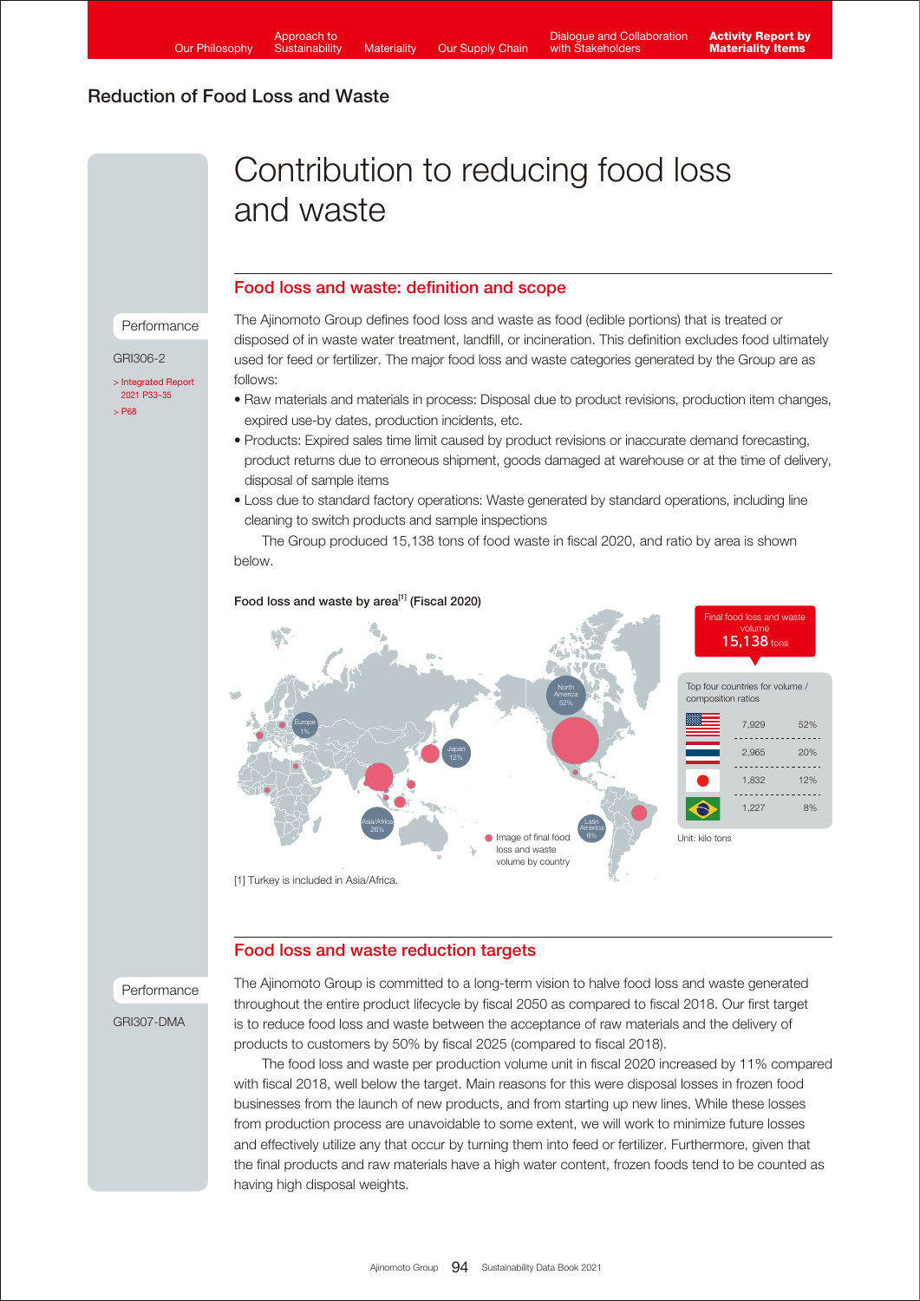# Reduction of Food Loss and Waste

Performance

[> Integrated Report](https://www.ajinomoto.co.jp/company/en/ir/library/annual/main/08/teaserItems1/00/linkList/0/link/Integrated%20Report%202021_E_A4.pdf#page=34)  2021 P33-35 [> P68](https://www.ajinomoto.com/sustainability/pdf/2021/SDB2021en_ems.pdf)

GRI306-2

# Contribution to reducing food loss and waste

### Food loss and waste: definition and scope

### The Ajinomoto Group defines food loss and waste as food (edible portions) that is treated or disposed of in waste water treatment, landfill, or incineration. This definition excludes food ultimately used for feed or fertilizer. The major food loss and waste categories generated by the Group are as follows:

- Raw materials and materials in process: Disposal due to product revisions, production item changes, expired use-by dates, production incidents, etc.
- Products: Expired sales time limit caused by product revisions or inaccurate demand forecasting, product returns due to erroneous shipment, goods damaged at warehouse or at the time of delivery, disposal of sample items
- Loss due to standard factory operations: Waste generated by standard operations, including line cleaning to switch products and sample inspections

 The Group produced 15,138 tons of food waste in fiscal 2020, and ratio by area is shown below.



# Food loss and waste by area<sup>[1]</sup> (Fiscal 2020)

## Food loss and waste reduction targets

## Performance

GRI307-DMA

The Ajinomoto Group is committed to a long-term vision to halve food loss and waste generated throughout the entire product lifecycle by fiscal 2050 as compared to fiscal 2018. Our first target is to reduce food loss and waste between the acceptance of raw materials and the delivery of products to customers by 50% by fiscal 2025 (compared to fiscal 2018).

 The food loss and waste per production volume unit in fiscal 2020 increased by 11% compared with fiscal 2018, well below the target. Main reasons for this were disposal losses in frozen food businesses from the launch of new products, and from starting up new lines. While these losses from production process are unavoidable to some extent, we will work to minimize future losses and effectively utilize any that occur by turning them into feed or fertilizer. Furthermore, given that the final products and raw materials have a high water content, frozen foods tend to be counted as having high disposal weights.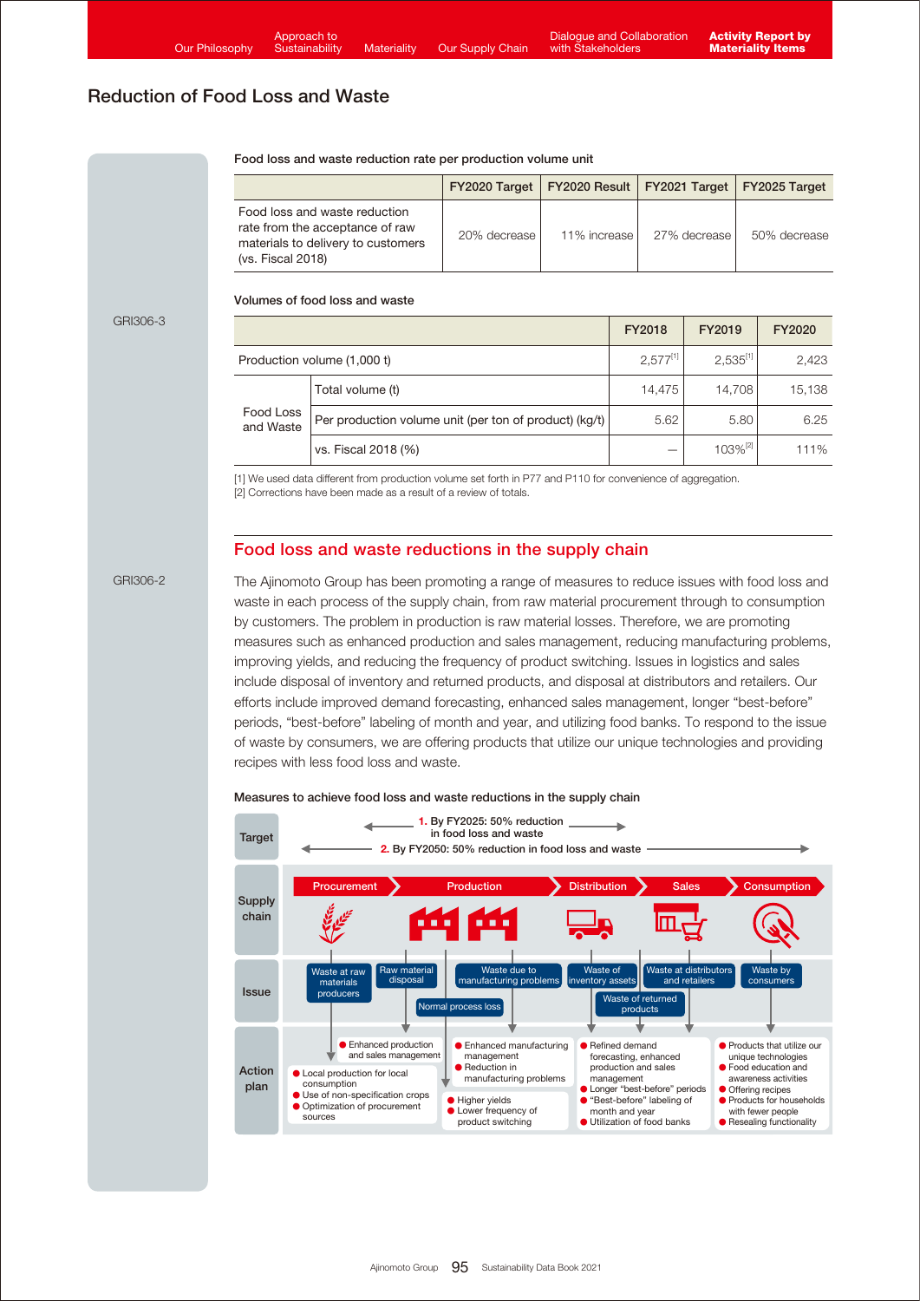# Reduction of Food Loss and Waste

| Food loss and waste reduction rate per production volume unit |  |
|---------------------------------------------------------------|--|
|---------------------------------------------------------------|--|

|                                                                                                                             |                | FY2020 Target   FY2020 Result   FY2021 Target   FY2025 Target |              |              |
|-----------------------------------------------------------------------------------------------------------------------------|----------------|---------------------------------------------------------------|--------------|--------------|
| Food loss and waste reduction<br>rate from the acceptance of raw<br>materials to delivery to customers<br>(vs. Fiscal 2018) | 20% decrease l | 11% increase                                                  | 27% decrease | 50% decrease |

# Volumes of food loss and waste

#### GRI306-3

|                             |                                                        | FY2018        | FY2019              | FY2020 |
|-----------------------------|--------------------------------------------------------|---------------|---------------------|--------|
| Production volume (1,000 t) |                                                        | $2,577^{[1]}$ | $2,535^{[1]}$       | 2,423  |
| Food Loss<br>and Waste      | Total volume (t)                                       | 14.475        | 14.708              | 15,138 |
|                             | Per production volume unit (per ton of product) (kg/t) | 5.62          | 5.80                | 6.25   |
|                             | vs. Fiscal 2018 (%)                                    |               | 103% <sup>[2]</sup> | 111%   |

[1] We used data different from production volume set forth in P77 and P110 for convenience of aggregation. [2] Corrections have been made as a result of a review of totals.

### Food loss and waste reductions in the supply chain

#### GRI306-2

The Ajinomoto Group has been promoting a range of measures to reduce issues with food loss and waste in each process of the supply chain, from raw material procurement through to consumption by customers. The problem in production is raw material losses. Therefore, we are promoting measures such as enhanced production and sales management, reducing manufacturing problems, improving yields, and reducing the frequency of product switching. Issues in logistics and sales include disposal of inventory and returned products, and disposal at distributors and retailers. Our efforts include improved demand forecasting, enhanced sales management, longer "best-before" periods, "best-before" labeling of month and year, and utilizing food banks. To respond to the issue of waste by consumers, we are offering products that utilize our unique technologies and providing recipes with less food loss and waste.



#### Measures to achieve food loss and waste reductions in the supply chain